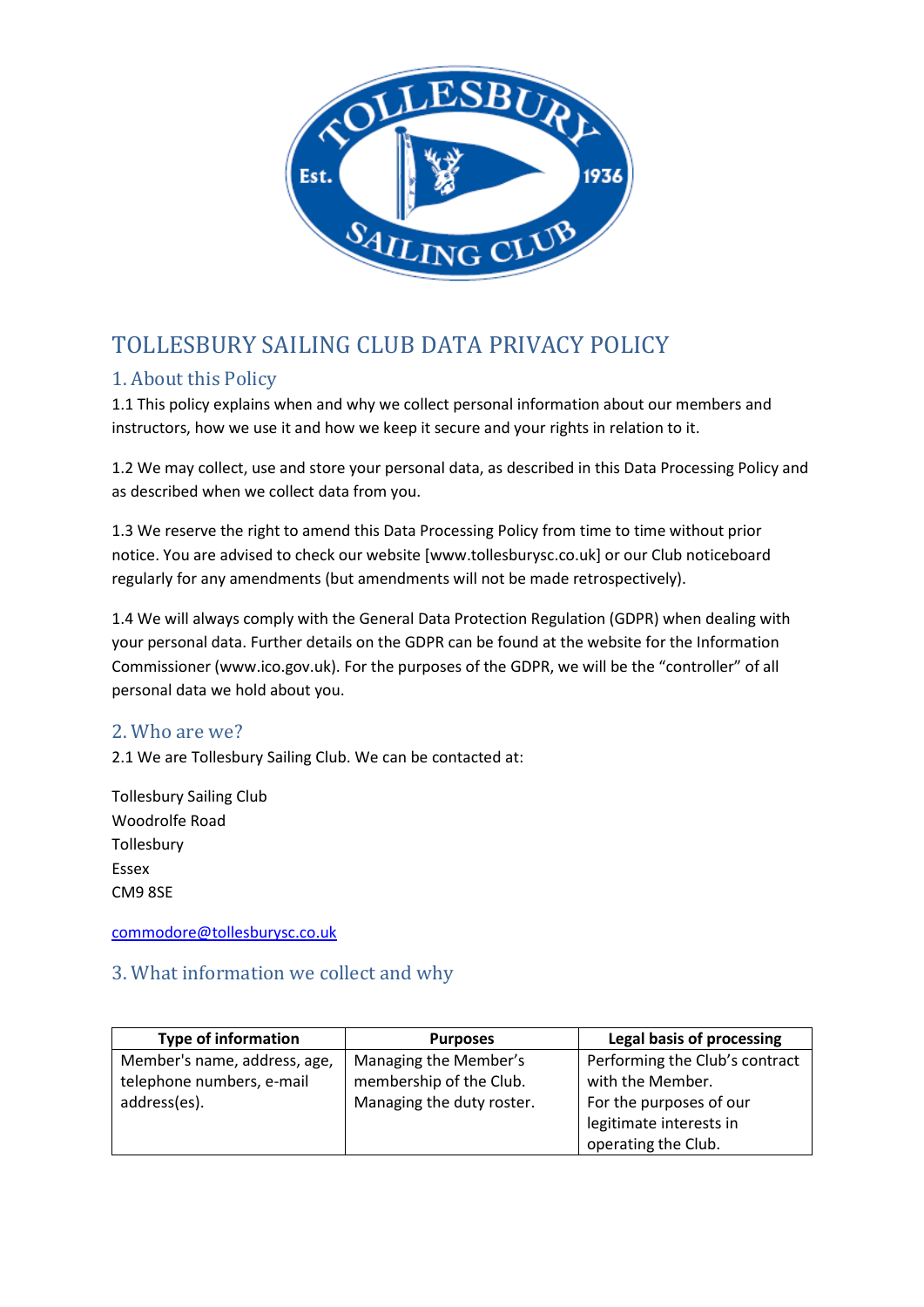

# TOLLESBURY SAILING CLUB DATA PRIVACY POLICY

# 1. About this Policy

1.1 This policy explains when and why we collect personal information about our members and instructors, how we use it and how we keep it secure and your rights in relation to it.

1.2 We may collect, use and store your personal data, as described in this Data Processing Policy and as described when we collect data from you.

1.3 We reserve the right to amend this Data Processing Policy from time to time without prior notice. You are advised to check our website [www.tollesburysc.co.uk] or our Club noticeboard regularly for any amendments (but amendments will not be made retrospectively).

1.4 We will always comply with the General Data Protection Regulation (GDPR) when dealing with your personal data. Further details on the GDPR can be found at the website for the Information Commissioner (www.ico.gov.uk). For the purposes of the GDPR, we will be the "controller" of all personal data we hold about you.

# 2. Who are we?

2.1 We are Tollesbury Sailing Club. We can be contacted at:

Tollesbury Sailing Club Woodrolfe Road **Tollesbury** Essex CM9 8SE

[commodore@tollesburysc.co.uk](mailto:commodore@tollesburysc.co.uk)

# 3. What information we collect and why

| <b>Type of information</b>   | <b>Purposes</b>           | Legal basis of processing      |
|------------------------------|---------------------------|--------------------------------|
| Member's name, address, age, | Managing the Member's     | Performing the Club's contract |
| telephone numbers, e-mail    | membership of the Club.   | with the Member.               |
| address(es).                 | Managing the duty roster. | For the purposes of our        |
|                              |                           | legitimate interests in        |
|                              |                           | operating the Club.            |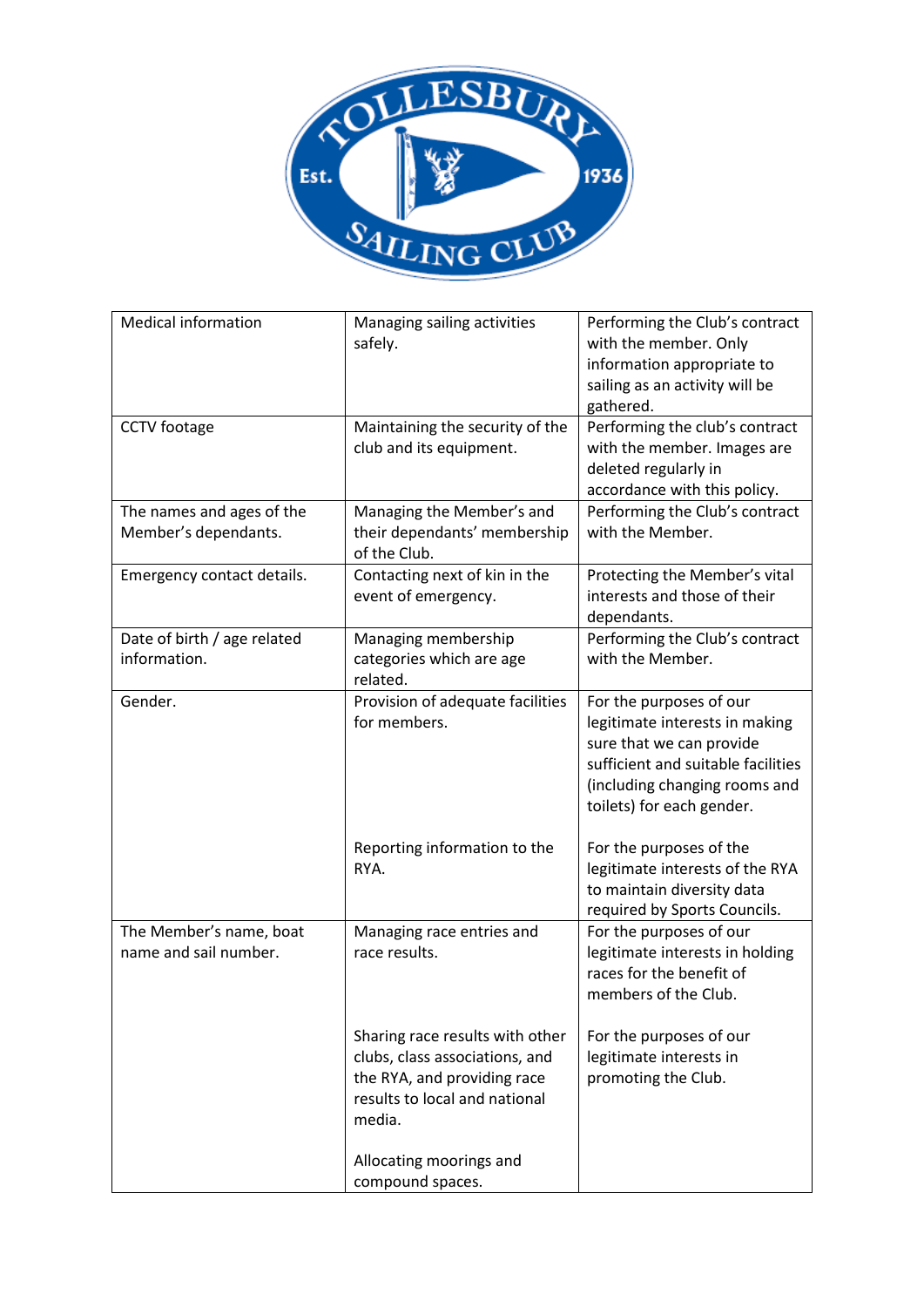

| <b>Medical information</b>                        | Managing sailing activities<br>safely.                                                                                                      | Performing the Club's contract<br>with the member. Only<br>information appropriate to                                                                                                     |
|---------------------------------------------------|---------------------------------------------------------------------------------------------------------------------------------------------|-------------------------------------------------------------------------------------------------------------------------------------------------------------------------------------------|
|                                                   |                                                                                                                                             | sailing as an activity will be<br>gathered.                                                                                                                                               |
| <b>CCTV</b> footage                               | Maintaining the security of the<br>club and its equipment.                                                                                  | Performing the club's contract<br>with the member. Images are<br>deleted regularly in<br>accordance with this policy.                                                                     |
| The names and ages of the<br>Member's dependants. | Managing the Member's and<br>their dependants' membership<br>of the Club.                                                                   | Performing the Club's contract<br>with the Member.                                                                                                                                        |
| Emergency contact details.                        | Contacting next of kin in the<br>event of emergency.                                                                                        | Protecting the Member's vital<br>interests and those of their<br>dependants.                                                                                                              |
| Date of birth / age related<br>information.       | Managing membership<br>categories which are age<br>related.                                                                                 | Performing the Club's contract<br>with the Member.                                                                                                                                        |
| Gender.                                           | Provision of adequate facilities<br>for members.                                                                                            | For the purposes of our<br>legitimate interests in making<br>sure that we can provide<br>sufficient and suitable facilities<br>(including changing rooms and<br>toilets) for each gender. |
|                                                   | Reporting information to the<br>RYA.                                                                                                        | For the purposes of the<br>legitimate interests of the RYA<br>to maintain diversity data<br>required by Sports Councils.                                                                  |
| The Member's name, boat<br>name and sail number.  | Managing race entries and<br>race results.                                                                                                  | For the purposes of our<br>legitimate interests in holding<br>races for the benefit of<br>members of the Club.                                                                            |
|                                                   | Sharing race results with other<br>clubs, class associations, and<br>the RYA, and providing race<br>results to local and national<br>media. | For the purposes of our<br>legitimate interests in<br>promoting the Club.                                                                                                                 |
|                                                   | Allocating moorings and<br>compound spaces.                                                                                                 |                                                                                                                                                                                           |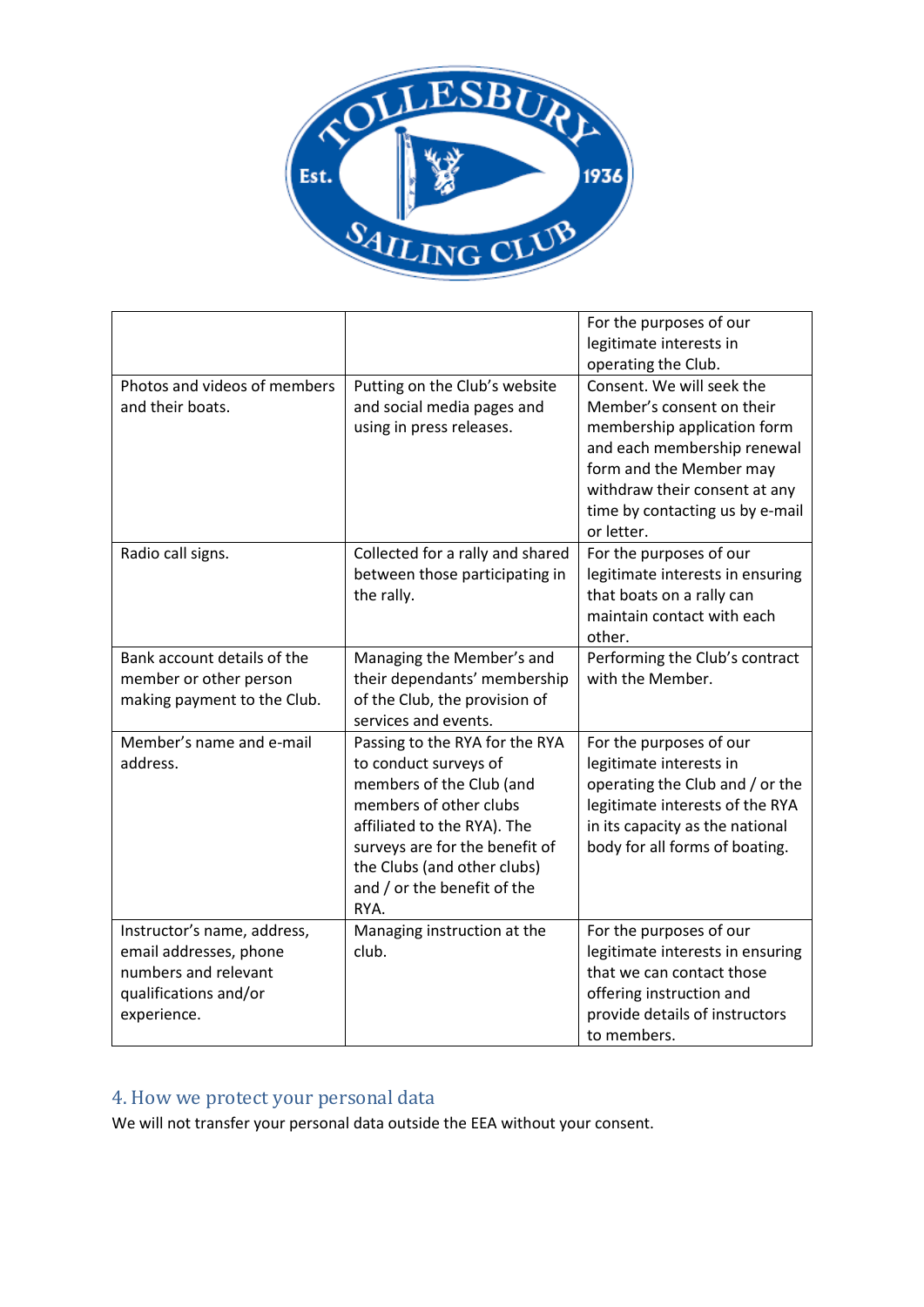

|                                                                                                                       |                                                                                                                                                                                                                                                      | For the purposes of our<br>legitimate interests in<br>operating the Club.                                                                                                                                                         |
|-----------------------------------------------------------------------------------------------------------------------|------------------------------------------------------------------------------------------------------------------------------------------------------------------------------------------------------------------------------------------------------|-----------------------------------------------------------------------------------------------------------------------------------------------------------------------------------------------------------------------------------|
| Photos and videos of members<br>and their boats.                                                                      | Putting on the Club's website<br>and social media pages and<br>using in press releases.                                                                                                                                                              | Consent. We will seek the<br>Member's consent on their<br>membership application form<br>and each membership renewal<br>form and the Member may<br>withdraw their consent at any<br>time by contacting us by e-mail<br>or letter. |
| Radio call signs.                                                                                                     | Collected for a rally and shared<br>between those participating in<br>the rally.                                                                                                                                                                     | For the purposes of our<br>legitimate interests in ensuring<br>that boats on a rally can<br>maintain contact with each<br>other.                                                                                                  |
| Bank account details of the<br>member or other person<br>making payment to the Club.                                  | Managing the Member's and<br>their dependants' membership<br>of the Club, the provision of<br>services and events.                                                                                                                                   | Performing the Club's contract<br>with the Member.                                                                                                                                                                                |
| Member's name and e-mail<br>address.                                                                                  | Passing to the RYA for the RYA<br>to conduct surveys of<br>members of the Club (and<br>members of other clubs<br>affiliated to the RYA). The<br>surveys are for the benefit of<br>the Clubs (and other clubs)<br>and / or the benefit of the<br>RYA. | For the purposes of our<br>legitimate interests in<br>operating the Club and / or the<br>legitimate interests of the RYA<br>in its capacity as the national<br>body for all forms of boating.                                     |
| Instructor's name, address,<br>email addresses, phone<br>numbers and relevant<br>qualifications and/or<br>experience. | Managing instruction at the<br>club.                                                                                                                                                                                                                 | For the purposes of our<br>legitimate interests in ensuring<br>that we can contact those<br>offering instruction and<br>provide details of instructors<br>to members.                                                             |

# 4. How we protect your personal data

We will not transfer your personal data outside the EEA without your consent.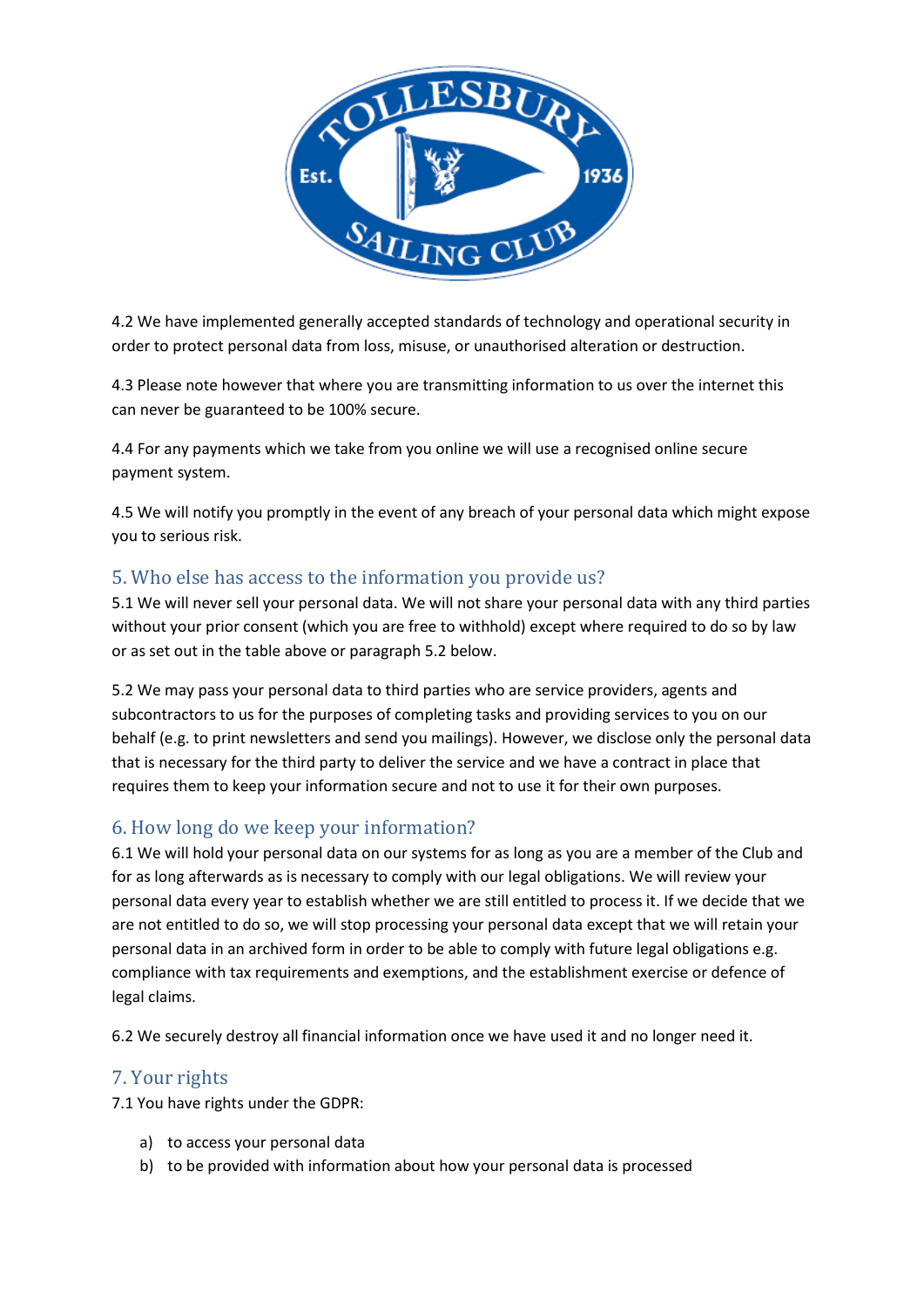

4.2 We have implemented generally accepted standards of technology and operational security in order to protect personal data from loss, misuse, or unauthorised alteration or destruction.

4.3 Please note however that where you are transmitting information to us over the internet this can never be guaranteed to be 100% secure.

4.4 For any payments which we take from you online we will use a recognised online secure payment system.

4.5 We will notify you promptly in the event of any breach of your personal data which might expose you to serious risk.

# 5. Who else has access to the information you provide us?

5.1 We will never sell your personal data. We will not share your personal data with any third parties without your prior consent (which you are free to withhold) except where required to do so by law or as set out in the table above or paragraph 5.2 below.

5.2 We may pass your personal data to third parties who are service providers, agents and subcontractors to us for the purposes of completing tasks and providing services to you on our behalf (e.g. to print newsletters and send you mailings). However, we disclose only the personal data that is necessary for the third party to deliver the service and we have a contract in place that requires them to keep your information secure and not to use it for their own purposes.

# 6. How long do we keep your information?

6.1 We will hold your personal data on our systems for as long as you are a member of the Club and for as long afterwards as is necessary to comply with our legal obligations. We will review your personal data every year to establish whether we are still entitled to process it. If we decide that we are not entitled to do so, we will stop processing your personal data except that we will retain your personal data in an archived form in order to be able to comply with future legal obligations e.g. compliance with tax requirements and exemptions, and the establishment exercise or defence of legal claims.

6.2 We securely destroy all financial information once we have used it and no longer need it.

# 7. Your rights

7.1 You have rights under the GDPR:

- a) to access your personal data
- b) to be provided with information about how your personal data is processed